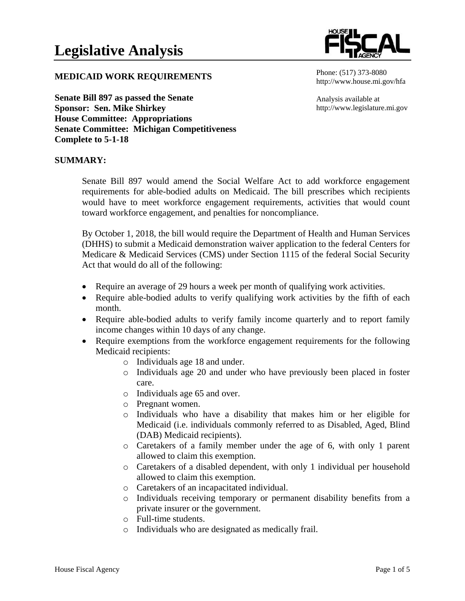

## **MEDICAID WORK REQUIREMENTS**

**Senate Bill 897 as passed the Senate Sponsor: Sen. Mike Shirkey House Committee: Appropriations Senate Committee: Michigan Competitiveness Complete to 5-1-18**

#### Phone: (517) 373-8080 http://www.house.mi.gov/hfa

Analysis available at http://www.legislature.mi.gov

### **SUMMARY:**

Senate Bill 897 would amend the Social Welfare Act to add workforce engagement requirements for able-bodied adults on Medicaid. The bill prescribes which recipients would have to meet workforce engagement requirements, activities that would count toward workforce engagement, and penalties for noncompliance.

By October 1, 2018, the bill would require the Department of Health and Human Services (DHHS) to submit a Medicaid demonstration waiver application to the federal Centers for Medicare & Medicaid Services (CMS) under Section 1115 of the federal Social Security Act that would do all of the following:

- Require an average of 29 hours a week per month of qualifying work activities.
- Require able-bodied adults to verify qualifying work activities by the fifth of each month.
- Require able-bodied adults to verify family income quarterly and to report family income changes within 10 days of any change.
- Require exemptions from the workforce engagement requirements for the following Medicaid recipients:
	- o Individuals age 18 and under.
	- o Individuals age 20 and under who have previously been placed in foster care.
	- o Individuals age 65 and over.
	- o Pregnant women.
	- o Individuals who have a disability that makes him or her eligible for Medicaid (i.e. individuals commonly referred to as Disabled, Aged, Blind (DAB) Medicaid recipients).
	- o Caretakers of a family member under the age of 6, with only 1 parent allowed to claim this exemption.
	- o Caretakers of a disabled dependent, with only 1 individual per household allowed to claim this exemption.
	- o Caretakers of an incapacitated individual.
	- o Individuals receiving temporary or permanent disability benefits from a private insurer or the government.
	- o Full-time students.
	- o Individuals who are designated as medically frail.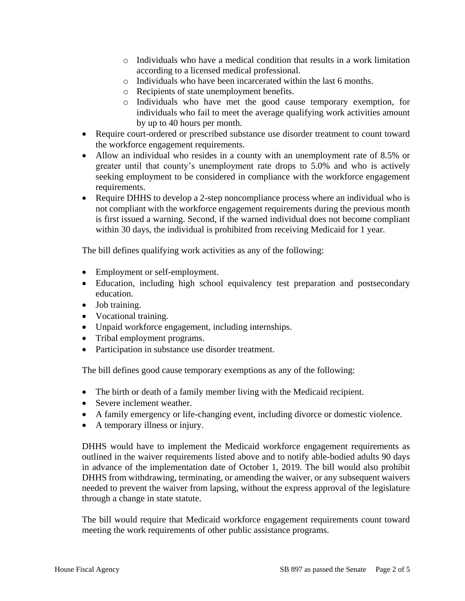- $\circ$  Individuals who have a medical condition that results in a work limitation according to a licensed medical professional.
- o Individuals who have been incarcerated within the last 6 months.
- o Recipients of state unemployment benefits.
- o Individuals who have met the good cause temporary exemption, for individuals who fail to meet the average qualifying work activities amount by up to 40 hours per month.
- Require court-ordered or prescribed substance use disorder treatment to count toward the workforce engagement requirements.
- Allow an individual who resides in a county with an unemployment rate of 8.5% or greater until that county's unemployment rate drops to 5.0% and who is actively seeking employment to be considered in compliance with the workforce engagement requirements.
- Require DHHS to develop a 2-step noncompliance process where an individual who is not compliant with the workforce engagement requirements during the previous month is first issued a warning. Second, if the warned individual does not become compliant within 30 days, the individual is prohibited from receiving Medicaid for 1 year.

The bill defines qualifying work activities as any of the following:

- Employment or self-employment.
- Education, including high school equivalency test preparation and postsecondary education.
- Job training.
- Vocational training.
- Unpaid workforce engagement, including internships.
- Tribal employment programs.
- Participation in substance use disorder treatment.

The bill defines good cause temporary exemptions as any of the following:

- The birth or death of a family member living with the Medicaid recipient.
- Severe inclement weather.
- A family emergency or life-changing event, including divorce or domestic violence.
- A temporary illness or injury.

DHHS would have to implement the Medicaid workforce engagement requirements as outlined in the waiver requirements listed above and to notify able-bodied adults 90 days in advance of the implementation date of October 1, 2019. The bill would also prohibit DHHS from withdrawing, terminating, or amending the waiver, or any subsequent waivers needed to prevent the waiver from lapsing, without the express approval of the legislature through a change in state statute.

The bill would require that Medicaid workforce engagement requirements count toward meeting the work requirements of other public assistance programs.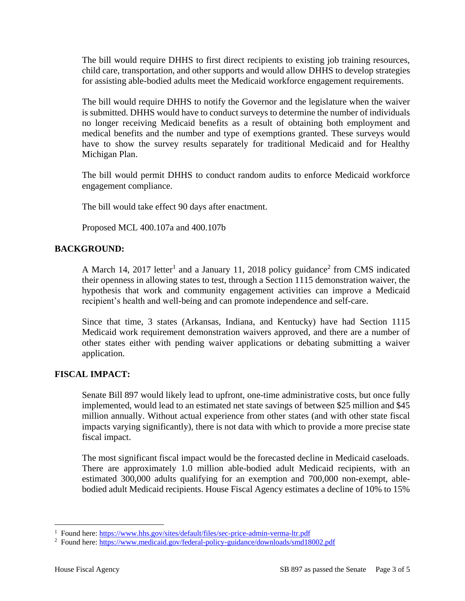The bill would require DHHS to first direct recipients to existing job training resources, child care, transportation, and other supports and would allow DHHS to develop strategies for assisting able-bodied adults meet the Medicaid workforce engagement requirements.

The bill would require DHHS to notify the Governor and the legislature when the waiver is submitted. DHHS would have to conduct surveys to determine the number of individuals no longer receiving Medicaid benefits as a result of obtaining both employment and medical benefits and the number and type of exemptions granted. These surveys would have to show the survey results separately for traditional Medicaid and for Healthy Michigan Plan.

The bill would permit DHHS to conduct random audits to enforce Medicaid workforce engagement compliance.

The bill would take effect 90 days after enactment.

Proposed MCL 400.107a and 400.107b

# **BACKGROUND:**

A March 14, 2017 letter<sup>1</sup> and a January 11, 2018 policy guidance<sup>2</sup> from CMS indicated their openness in allowing states to test, through a Section 1115 demonstration waiver, the hypothesis that work and community engagement activities can improve a Medicaid recipient's health and well-being and can promote independence and self-care.

Since that time, 3 states (Arkansas, Indiana, and Kentucky) have had Section 1115 Medicaid work requirement demonstration waivers approved, and there are a number of other states either with pending waiver applications or debating submitting a waiver application.

# **FISCAL IMPACT:**

Senate Bill 897 would likely lead to upfront, one-time administrative costs, but once fully implemented, would lead to an estimated net state savings of between \$25 million and \$45 million annually. Without actual experience from other states (and with other state fiscal impacts varying significantly), there is not data with which to provide a more precise state fiscal impact.

The most significant fiscal impact would be the forecasted decline in Medicaid caseloads. There are approximately 1.0 million able-bodied adult Medicaid recipients, with an estimated 300,000 adults qualifying for an exemption and 700,000 non-exempt, ablebodied adult Medicaid recipients. House Fiscal Agency estimates a decline of 10% to 15%

<sup>&</sup>lt;sup>1</sup> Found here:<https://www.hhs.gov/sites/default/files/sec-price-admin-verma-ltr.pdf><br><sup>2</sup> Found here:<https://www.medicaid.gov/federal-policy-guidance/downloads/smd18002.pdf>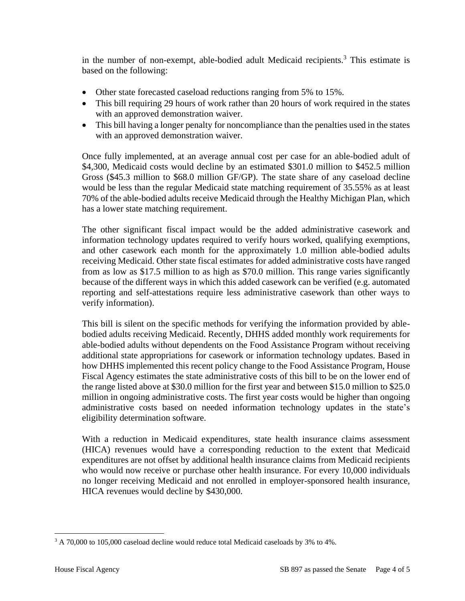in the number of non-exempt, able-bodied adult Medicaid recipients.<sup>3</sup> This estimate is based on the following:

- Other state forecasted caseload reductions ranging from 5% to 15%.
- This bill requiring 29 hours of work rather than 20 hours of work required in the states with an approved demonstration waiver.
- This bill having a longer penalty for noncompliance than the penalties used in the states with an approved demonstration waiver.

Once fully implemented, at an average annual cost per case for an able-bodied adult of \$4,300, Medicaid costs would decline by an estimated \$301.0 million to \$452.5 million Gross (\$45.3 million to \$68.0 million GF/GP). The state share of any caseload decline would be less than the regular Medicaid state matching requirement of 35.55% as at least 70% of the able-bodied adults receive Medicaid through the Healthy Michigan Plan, which has a lower state matching requirement.

The other significant fiscal impact would be the added administrative casework and information technology updates required to verify hours worked, qualifying exemptions, and other casework each month for the approximately 1.0 million able-bodied adults receiving Medicaid. Other state fiscal estimates for added administrative costs have ranged from as low as \$17.5 million to as high as \$70.0 million. This range varies significantly because of the different ways in which this added casework can be verified (e.g. automated reporting and self-attestations require less administrative casework than other ways to verify information).

This bill is silent on the specific methods for verifying the information provided by ablebodied adults receiving Medicaid. Recently, DHHS added monthly work requirements for able-bodied adults without dependents on the Food Assistance Program without receiving additional state appropriations for casework or information technology updates. Based in how DHHS implemented this recent policy change to the Food Assistance Program, House Fiscal Agency estimates the state administrative costs of this bill to be on the lower end of the range listed above at \$30.0 million for the first year and between \$15.0 million to \$25.0 million in ongoing administrative costs. The first year costs would be higher than ongoing administrative costs based on needed information technology updates in the state's eligibility determination software.

With a reduction in Medicaid expenditures, state health insurance claims assessment (HICA) revenues would have a corresponding reduction to the extent that Medicaid expenditures are not offset by additional health insurance claims from Medicaid recipients who would now receive or purchase other health insurance. For every 10,000 individuals no longer receiving Medicaid and not enrolled in employer-sponsored health insurance, HICA revenues would decline by \$430,000.

 $\overline{a}$ 

<sup>&</sup>lt;sup>3</sup> A 70,000 to 105,000 caseload decline would reduce total Medicaid caseloads by 3% to 4%.